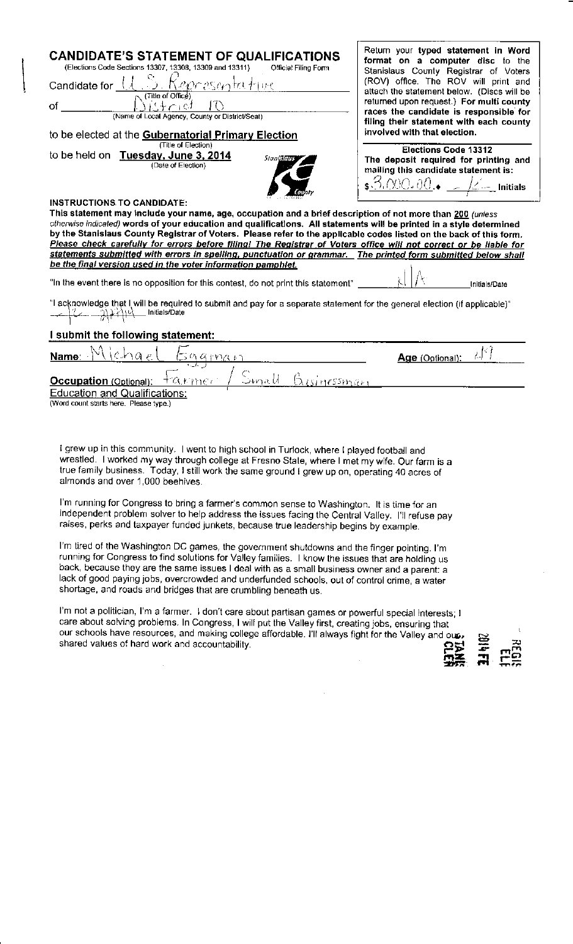## I submit the following statement:

| Name:                                                                          | Age (Optional): |  |
|--------------------------------------------------------------------------------|-----------------|--|
| - Businessman<br>Occupation (Optional): + a kime?<br>Sinall                    |                 |  |
| <b>Education and Qualifications:</b><br>(Word count starts here. Please type.) |                 |  |

I grew up in this community. I went to high school in Turlock, where I played football and wrestled. I worked my way through college at Fresno State, where I met my wife. Our farm is a true family business. Today, I still work the same ground I grew up on, operating 40 acres of almonds and over 1,000 beehives.

I'm running for Congress to bring a farmer's common sense to Washington. It is time for an independent problem solver to help address the issues facing the Central Valley. I'll refuse pay raises, perks and taxpayer funded junkets, because true leadership begins by example.

I'm tired of the Washington DC games, the government shutdowns and the finger pointing. I'm running for Congress to find solutions for Valley families. I know the issues that are holding us back, because they are the same issues I deal with as a small business owner and a parent: a lack of good paying jobs, overcrowded and underfunded schools, out of control crime, a water shortage, and roads and bridges that are crumbling beneath us.

I'm not a politician, I'm a farmer. I don't care about partisan games or powerful special interests; I care about solving problems. In Congress, I will put the Valley first, creating jobs, ensuring that our schools have resources, and making college affordable. I'll always fight for the Valley and out shared values of hard work and accountability.

買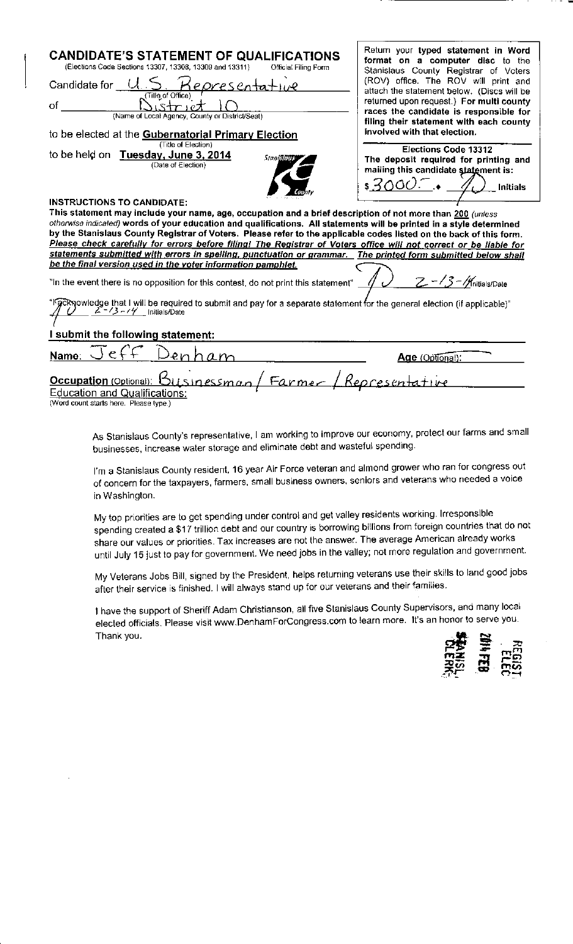I submit the following statement:

 $\rho$  ( enham Name: Age (Optional): Occupation (Optional): Businessman Representative Farmer **Education and Qualifications:** (Word count starts here. Please type.)

As Stanislaus County's representative, I am working to improve our economy, protect our farms and small businesses, increase water storage and eliminate debt and wasteful spending.

I'm a Stanislaus County resident, 16 year Air Force veteran and almond grower who ran for congress out of concern for the taxpayers, farmers, small business owners, seniors and veterans who needed a voice in Washington.

My top priorities are to get spending under control and get valley residents working. Irresponsible spending created a \$17 trillion debt and our country is borrowing billions from foreign countries that do not share our values or priorities. Tax increases are not the answer. The average American already works until July 15 just to pay for government. We need jobs in the valley; not more regulation and government.

My Veterans Jobs Bill, signed by the President, helps returning veterans use their skills to land good jobs after their service is finished. I will always stand up for our veterans and their families.

I have the support of Sheriff Adam Christianson, all five Stanislaus County Supervisors, and many local elected officials. Please visit www.DenhamForCongress.com to learn more. It's an honor to serve you. Thank you.